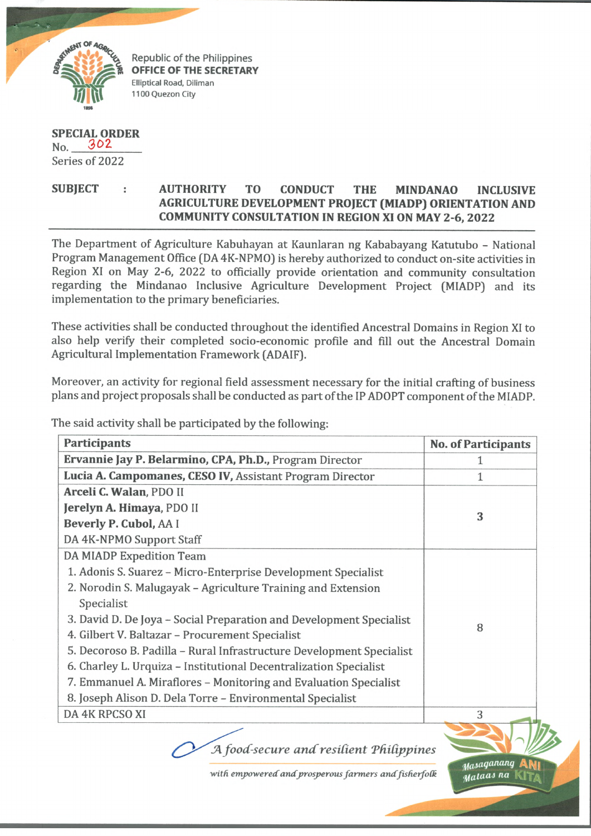

Republic of the Philippines OFFICE OF THE SECRETARY Elliptical Road, Diliman 1100 Quezon City

## **SPECIAL ORDER**  $No. 302$ Series of 2022

## **SUBJECT : AUTHORITY TO CONDUCT THE MINDANAO INCLUSIVE AGRICULTURE DEVELOPMENT PROJECT (MIADP) ORIENTATION AND COMMUNITY CONSULTATION IN REGION XI ON MAY 2-6, 2022**

The Department of Agriculture Kabuhayan at Kaunlaran ng Kababayang Katutubo - National Program Management Office (DA 4K-NPM0) is hereby authorized to conduct on-site activities in Region XI on May 2-6, 2022 to officially provide orientation and community consultation regarding the Mindanao Inclusive Agriculture Development Project (MIADP) and its implementation to the primary beneficiaries.

These activities shall be conducted throughout the identified Ancestral Domains in Region XI to also help verify their completed socio-economic profile and fill out the Ancestral Domain Agricultural Implementation Framework (ADAIF).

Moreover, an activity for regional field assessment necessary for the initial crafting of business plans and project proposals shall be conducted as part of the IP ADOPT component of the MIADP.

The said activity shall be participated by the following:

| <b>Participants</b>                                                  | <b>No. of Participants</b>           |
|----------------------------------------------------------------------|--------------------------------------|
| Ervannie Jay P. Belarmino, CPA, Ph.D., Program Director              | 1                                    |
| Lucia A. Campomanes, CESO IV, Assistant Program Director             | $\mathbf{1}$                         |
| Arceli C. Walan, PDO II                                              |                                      |
| Jerelyn A. Himaya, PDO II                                            |                                      |
| Beverly P. Cubol, AA I                                               | 3                                    |
| DA 4K-NPMO Support Staff                                             |                                      |
| DA MIADP Expedition Team                                             |                                      |
| 1. Adonis S. Suarez - Micro-Enterprise Development Specialist        |                                      |
| 2. Norodin S. Malugayak – Agriculture Training and Extension         |                                      |
| Specialist                                                           |                                      |
| 3. David D. De Joya – Social Preparation and Development Specialist  | 8                                    |
| 4. Gilbert V. Baltazar - Procurement Specialist                      |                                      |
| 5. Decoroso B. Padilla - Rural Infrastructure Development Specialist |                                      |
| 6. Charley L. Urquiza - Institutional Decentralization Specialist    |                                      |
| 7. Emmanuel A. Miraflores - Monitoring and Evaluation Specialist     |                                      |
| 8. Joseph Alison D. Dela Torre - Environmental Specialist            |                                      |
| DA 4K RPCSO XI                                                       | 3                                    |
| A food-secure and resilient Philippines                              |                                      |
| with empowered and prosperous farmers and fisherfolk                 | y <sub>as</sub> aganang<br>sataas na |